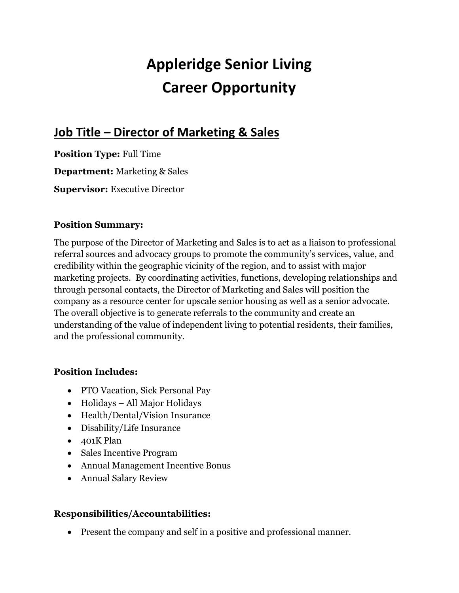# **Appleridge Senior Living Career Opportunity**

# **Job Title – Director of Marketing & Sales**

**Position Type:** Full Time **Department:** Marketing & Sales **Supervisor:** Executive Director

#### **Position Summary:**

The purpose of the Director of Marketing and Sales is to act as a liaison to professional referral sources and advocacy groups to promote the community's services, value, and credibility within the geographic vicinity of the region, and to assist with major marketing projects. By coordinating activities, functions, developing relationships and through personal contacts, the Director of Marketing and Sales will position the company as a resource center for upscale senior housing as well as a senior advocate. The overall objective is to generate referrals to the community and create an understanding of the value of independent living to potential residents, their families, and the professional community.

#### **Position Includes:**

- PTO Vacation, Sick Personal Pay
- Holidays All Major Holidays
- Health/Dental/Vision Insurance
- Disability/Life Insurance
- 401K Plan
- Sales Incentive Program
- Annual Management Incentive Bonus
- Annual Salary Review

#### **Responsibilities/Accountabilities:**

• Present the company and self in a positive and professional manner.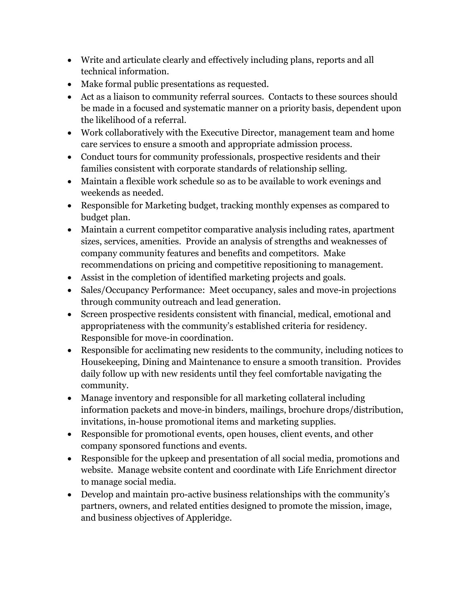- Write and articulate clearly and effectively including plans, reports and all technical information.
- Make formal public presentations as requested.
- Act as a liaison to community referral sources. Contacts to these sources should be made in a focused and systematic manner on a priority basis, dependent upon the likelihood of a referral.
- Work collaboratively with the Executive Director, management team and home care services to ensure a smooth and appropriate admission process.
- Conduct tours for community professionals, prospective residents and their families consistent with corporate standards of relationship selling.
- Maintain a flexible work schedule so as to be available to work evenings and weekends as needed.
- Responsible for Marketing budget, tracking monthly expenses as compared to budget plan.
- Maintain a current competitor comparative analysis including rates, apartment sizes, services, amenities. Provide an analysis of strengths and weaknesses of company community features and benefits and competitors. Make recommendations on pricing and competitive repositioning to management.
- Assist in the completion of identified marketing projects and goals.
- Sales/Occupancy Performance: Meet occupancy, sales and move-in projections through community outreach and lead generation.
- Screen prospective residents consistent with financial, medical, emotional and appropriateness with the community's established criteria for residency. Responsible for move-in coordination.
- Responsible for acclimating new residents to the community, including notices to Housekeeping, Dining and Maintenance to ensure a smooth transition. Provides daily follow up with new residents until they feel comfortable navigating the community.
- Manage inventory and responsible for all marketing collateral including information packets and move-in binders, mailings, brochure drops/distribution, invitations, in-house promotional items and marketing supplies.
- Responsible for promotional events, open houses, client events, and other company sponsored functions and events.
- Responsible for the upkeep and presentation of all social media, promotions and website. Manage website content and coordinate with Life Enrichment director to manage social media.
- Develop and maintain pro-active business relationships with the community's partners, owners, and related entities designed to promote the mission, image, and business objectives of Appleridge.